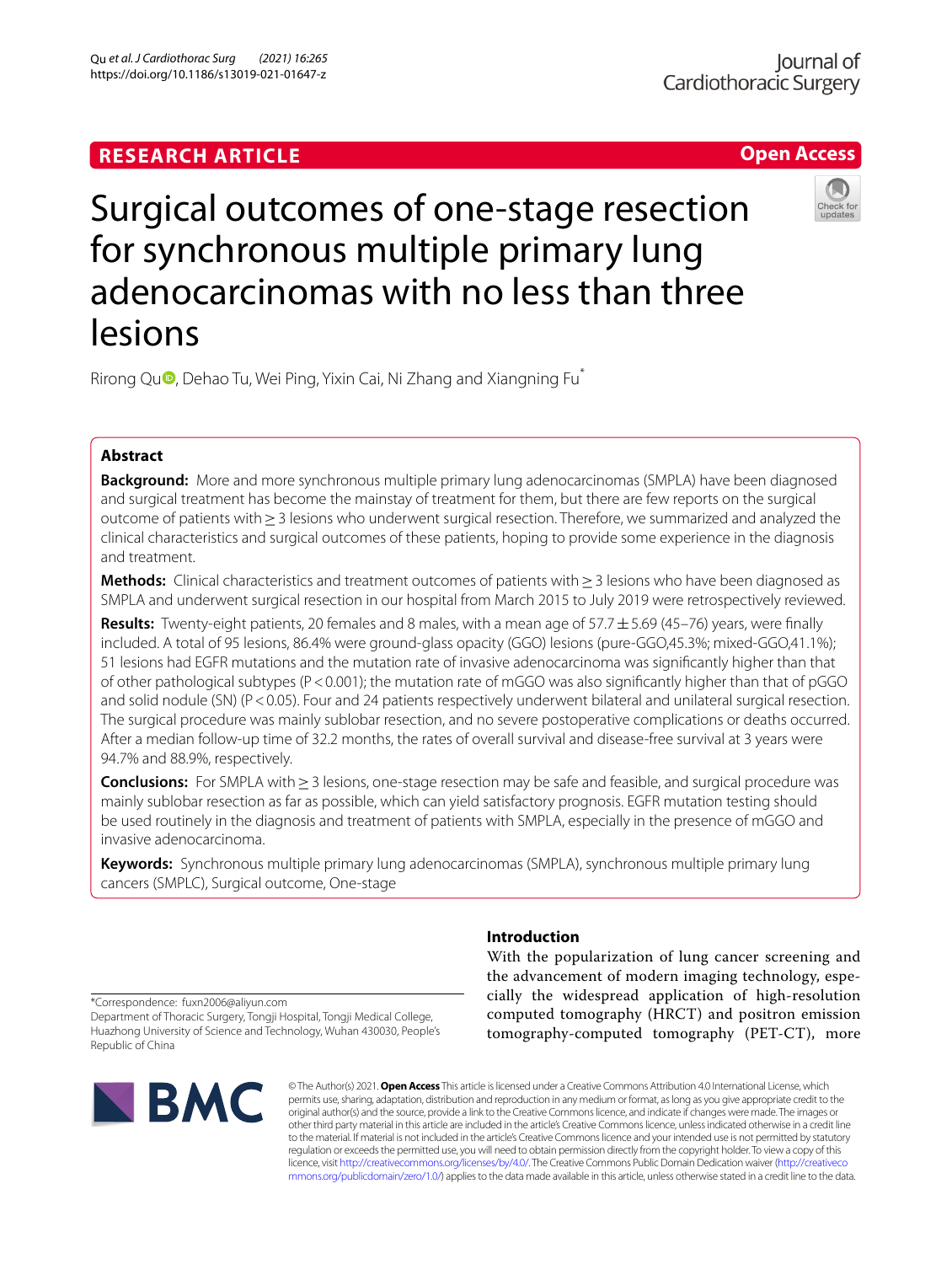# **Open Access**



# Surgical outcomes of one-stage resection for synchronous multiple primary lung adenocarcinomas with no less than three lesions

Rirong Qu<sup>n</sup>[,](http://orcid.org/0000-0002-3334-3304) Dehao Tu, Wei Ping, Yixin Cai, Ni Zhang and Xiangning Fu<sup>\*</sup>

# **Abstract**

**Background:** More and more synchronous multiple primary lung adenocarcinomas (SMPLA) have been diagnosed and surgical treatment has become the mainstay of treatment for them, but there are few reports on the surgical outcome of patients with≥3 lesions who underwent surgical resection. Therefore, we summarized and analyzed the clinical characteristics and surgical outcomes of these patients, hoping to provide some experience in the diagnosis and treatment.

**Methods:** Clinical characteristics and treatment outcomes of patients with≥3 lesions who have been diagnosed as SMPLA and underwent surgical resection in our hospital from March 2015 to July 2019 were retrospectively reviewed.

**Results:** Twenty-eight patients, 20 females and 8 males, with a mean age of 57.7±5.69 (45–76) years, were fnally included. A total of 95 lesions, 86.4% were ground-glass opacity (GGO) lesions (pure-GGO,45.3%; mixed-GGO,41.1%); 51 lesions had EGFR mutations and the mutation rate of invasive adenocarcinoma was signifcantly higher than that of other pathological subtypes (P<0.001); the mutation rate of mGGO was also signifcantly higher than that of pGGO and solid nodule (SN) (P<0.05). Four and 24 patients respectively underwent bilateral and unilateral surgical resection. The surgical procedure was mainly sublobar resection, and no severe postoperative complications or deaths occurred. After a median follow-up time of 32.2 months, the rates of overall survival and disease-free survival at 3 years were 94.7% and 88.9%, respectively.

**Conclusions:** For SMPLA with≥3 lesions, one-stage resection may be safe and feasible, and surgical procedure was mainly sublobar resection as far as possible, which can yield satisfactory prognosis. EGFR mutation testing should be used routinely in the diagnosis and treatment of patients with SMPLA, especially in the presence of mGGO and invasive adenocarcinoma.

**Keywords:** Synchronous multiple primary lung adenocarcinomas (SMPLA), synchronous multiple primary lung cancers (SMPLC), Surgical outcome, One-stage

## **Introduction**

With the popularization of lung cancer screening and the advancement of modern imaging technology, especially the widespread application of high-resolution computed tomography (HRCT) and positron emission tomography-computed tomography (PET-CT), more

\*Correspondence: fuxn2006@aliyun.com Department of Thoracic Surgery, Tongji Hospital, Tongji Medical College, Huazhong University of Science and Technology, Wuhan 430030, People's Republic of China



© The Author(s) 2021. **Open Access** This article is licensed under a Creative Commons Attribution 4.0 International License, which permits use, sharing, adaptation, distribution and reproduction in any medium or format, as long as you give appropriate credit to the original author(s) and the source, provide a link to the Creative Commons licence, and indicate if changes were made. The images or other third party material in this article are included in the article's Creative Commons licence, unless indicated otherwise in a credit line to the material. If material is not included in the article's Creative Commons licence and your intended use is not permitted by statutory regulation or exceeds the permitted use, you will need to obtain permission directly from the copyright holder. To view a copy of this licence, visit [http://creativecommons.org/licenses/by/4.0/.](http://creativecommons.org/licenses/by/4.0/) The Creative Commons Public Domain Dedication waiver ([http://creativeco](http://creativecommons.org/publicdomain/zero/1.0/) [mmons.org/publicdomain/zero/1.0/](http://creativecommons.org/publicdomain/zero/1.0/)) applies to the data made available in this article, unless otherwise stated in a credit line to the data.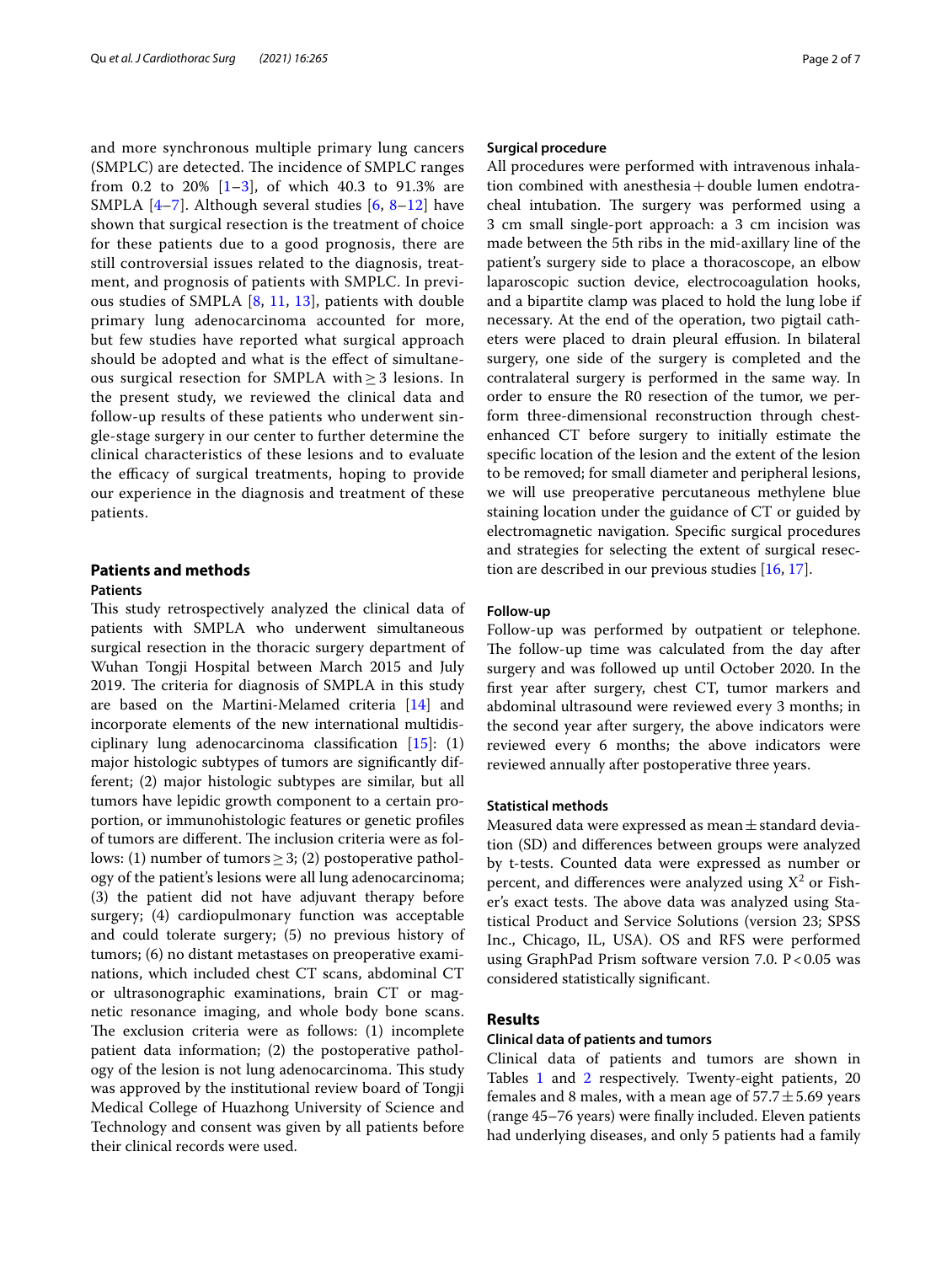and more synchronous multiple primary lung cancers (SMPLC) are detected. The incidence of SMPLC ranges from 0.2 to 20%  $[1-3]$  $[1-3]$  $[1-3]$ , of which 40.3 to 91.3% are SMPLA  $[4-7]$  $[4-7]$  $[4-7]$ . Although several studies  $[6, 8-12]$  $[6, 8-12]$  $[6, 8-12]$  $[6, 8-12]$  have shown that surgical resection is the treatment of choice for these patients due to a good prognosis, there are still controversial issues related to the diagnosis, treatment, and prognosis of patients with SMPLC. In previous studies of SMPLA [\[8](#page-5-5), [11,](#page-5-7) [13](#page-5-8)], patients with double primary lung adenocarcinoma accounted for more, but few studies have reported what surgical approach should be adopted and what is the efect of simultaneous surgical resection for SMPLA with  $\geq$  3 lesions. In the present study, we reviewed the clinical data and follow-up results of these patients who underwent single-stage surgery in our center to further determine the clinical characteristics of these lesions and to evaluate the efficacy of surgical treatments, hoping to provide our experience in the diagnosis and treatment of these patients.

## **Patients and methods**

## **Patients**

This study retrospectively analyzed the clinical data of patients with SMPLA who underwent simultaneous surgical resection in the thoracic surgery department of Wuhan Tongji Hospital between March 2015 and July 2019. The criteria for diagnosis of SMPLA in this study are based on the Martini-Melamed criteria [[14\]](#page-5-9) and incorporate elements of the new international multidisciplinary lung adenocarcinoma classifcation [\[15\]](#page-5-10): (1) major histologic subtypes of tumors are signifcantly different; (2) major histologic subtypes are similar, but all tumors have lepidic growth component to a certain proportion, or immunohistologic features or genetic profles of tumors are different. The inclusion criteria were as follows: (1) number of tumors  $\geq$  3; (2) postoperative pathology of the patient's lesions were all lung adenocarcinoma; (3) the patient did not have adjuvant therapy before surgery; (4) cardiopulmonary function was acceptable and could tolerate surgery; (5) no previous history of tumors; (6) no distant metastases on preoperative examinations, which included chest CT scans, abdominal CT or ultrasonographic examinations, brain CT or magnetic resonance imaging, and whole body bone scans. The exclusion criteria were as follows:  $(1)$  incomplete patient data information; (2) the postoperative pathology of the lesion is not lung adenocarcinoma. This study was approved by the institutional review board of Tongji Medical College of Huazhong University of Science and Technology and consent was given by all patients before their clinical records were used.

## **Surgical procedure**

All procedures were performed with intravenous inhalation combined with anesthesia+double lumen endotracheal intubation. The surgery was performed using a 3 cm small single-port approach: a 3 cm incision was made between the 5th ribs in the mid-axillary line of the patient's surgery side to place a thoracoscope, an elbow laparoscopic suction device, electrocoagulation hooks, and a bipartite clamp was placed to hold the lung lobe if necessary. At the end of the operation, two pigtail catheters were placed to drain pleural efusion. In bilateral surgery, one side of the surgery is completed and the contralateral surgery is performed in the same way. In order to ensure the R0 resection of the tumor, we perform three-dimensional reconstruction through chestenhanced CT before surgery to initially estimate the specifc location of the lesion and the extent of the lesion to be removed; for small diameter and peripheral lesions, we will use preoperative percutaneous methylene blue staining location under the guidance of CT or guided by electromagnetic navigation. Specifc surgical procedures and strategies for selecting the extent of surgical resection are described in our previous studies [[16,](#page-5-11) [17](#page-5-12)].

## **Follow‑up**

Follow-up was performed by outpatient or telephone. The follow-up time was calculated from the day after surgery and was followed up until October 2020. In the frst year after surgery, chest CT, tumor markers and abdominal ultrasound were reviewed every 3 months; in the second year after surgery, the above indicators were reviewed every 6 months; the above indicators were reviewed annually after postoperative three years.

## **Statistical methods**

Measured data were expressed as mean $\pm$ standard deviation (SD) and diferences between groups were analyzed by t-tests. Counted data were expressed as number or percent, and differences were analyzed using  $X^2$  or Fisher's exact tests. The above data was analyzed using Statistical Product and Service Solutions (version 23; SPSS Inc., Chicago, IL, USA). OS and RFS were performed using GraphPad Prism software version 7.0.  $P < 0.05$  was considered statistically signifcant.

## **Results**

## **Clinical data of patients and tumors**

Clinical data of patients and tumors are shown in Tables [1](#page-2-0) and [2](#page-2-1) respectively. Twenty-eight patients, 20 females and 8 males, with a mean age of  $57.7 \pm 5.69$  years (range 45–76 years) were fnally included. Eleven patients had underlying diseases, and only 5 patients had a family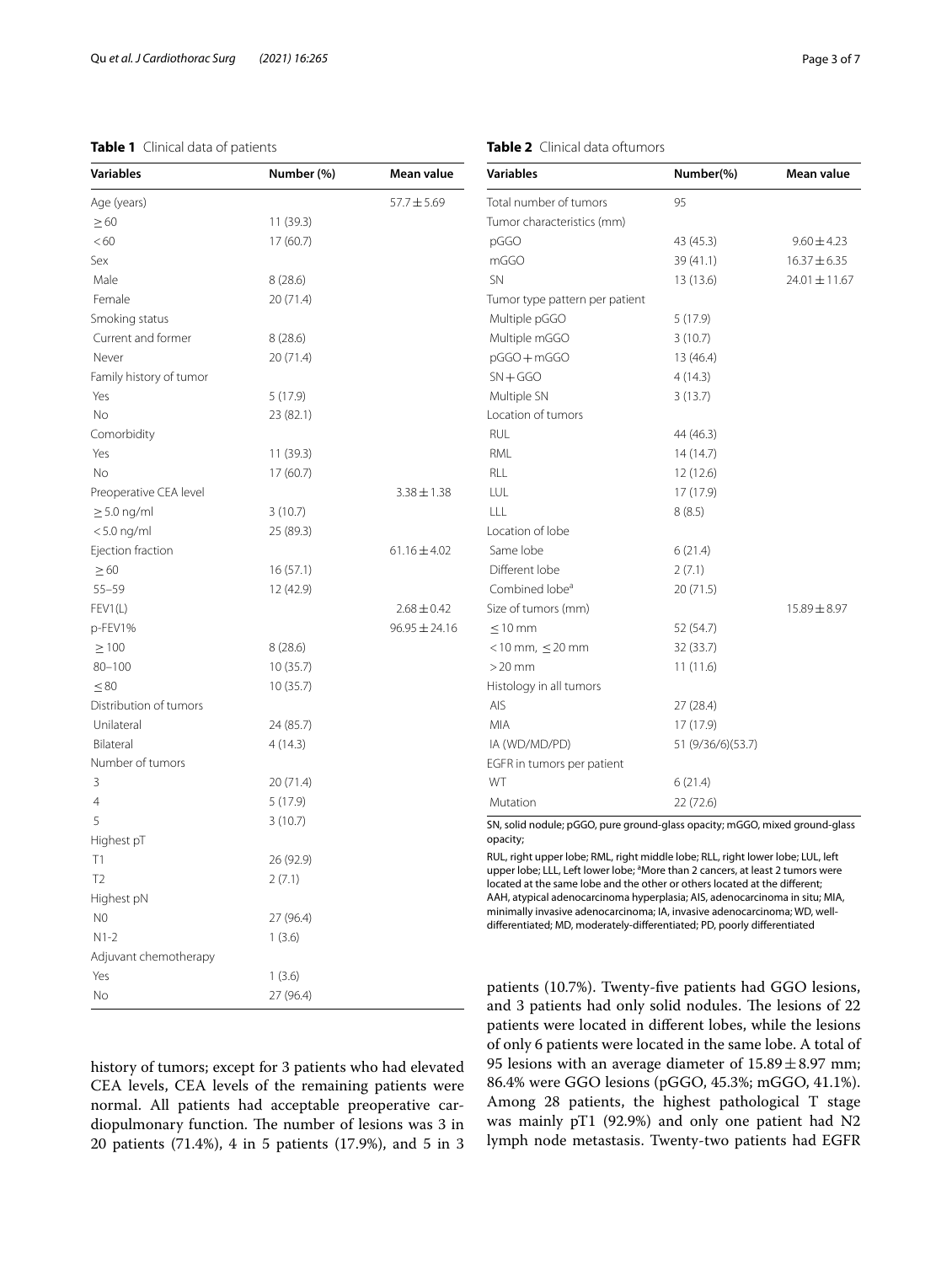## <span id="page-2-0"></span>**Table 1** Clinical data of patients

| Variables               | Number (%) | Mean value        |
|-------------------------|------------|-------------------|
| Age (years)             |            | $57.7 \pm 5.69$   |
| $\geq 60$               | 11 (39.3)  |                   |
| < 60                    | 17(60.7)   |                   |
| Sex                     |            |                   |
| Male                    | 8(28.6)    |                   |
| Female                  | 20(71.4)   |                   |
| Smoking status          |            |                   |
| Current and former      | 8(28.6)    |                   |
| Never                   | 20 (71.4)  |                   |
| Family history of tumor |            |                   |
| Yes                     | 5(17.9)    |                   |
| No                      | 23 (82.1)  |                   |
| Comorbidity             |            |                   |
| Yes                     | 11 (39.3)  |                   |
| No                      | 17(60.7)   |                   |
| Preoperative CEA level  |            | $3.38 \pm 1.38$   |
| $\geq$ 5.0 ng/ml        | 3(10.7)    |                   |
| $< 5.0$ ng/ml           | 25 (89.3)  |                   |
| Ejection fraction       |            | $61.16 \pm 4.02$  |
| $\geq 60$               | 16(57.1)   |                   |
| $55 - 59$               | 12 (42.9)  |                   |
| FEV1(L)                 |            | $2.68 \pm 0.42$   |
| p-FEV1%                 |            | $96.95 \pm 24.16$ |
| $\geq 100$              | 8(28.6)    |                   |
| $80 - 100$              | 10(35.7)   |                   |
| $\leq 80$               | 10(35.7)   |                   |
| Distribution of tumors  |            |                   |
| Unilateral              | 24 (85.7)  |                   |
| Bilateral               | 4(14.3)    |                   |
| Number of tumors        |            |                   |
| 3                       | 20 (71.4)  |                   |
| 4                       | 5(17.9)    |                   |
| 5                       | 3(10.7)    |                   |
| Highest pT              |            |                   |
| T1                      | 26 (92.9)  |                   |
| T <sub>2</sub>          | 2(7.1)     |                   |
| Highest pN              |            |                   |
| N <sub>0</sub>          | 27 (96.4)  |                   |
| $N1-2$                  | 1(3.6)     |                   |
| Adjuvant chemotherapy   |            |                   |
| Yes                     | 1(3.6)     |                   |
| No                      | 27 (96.4)  |                   |

history of tumors; except for 3 patients who had elevated CEA levels, CEA levels of the remaining patients were normal. All patients had acceptable preoperative cardiopulmonary function. The number of lesions was 3 in 20 patients (71.4%), 4 in 5 patients (17.9%), and 5 in 3 <span id="page-2-1"></span>**Table 2** Clinical data oftumors

| Variables                      | Number(%)         | Mean value        |
|--------------------------------|-------------------|-------------------|
| Total number of tumors         | 95                |                   |
| Tumor characteristics (mm)     |                   |                   |
| pGGO                           | 43 (45.3)         | $9.60 \pm 4.23$   |
| mGGO                           | 39 (41.1)         | $16.37 \pm 6.35$  |
| <b>SN</b>                      | 13 (13.6)         | $24.01 \pm 11.67$ |
| Tumor type pattern per patient |                   |                   |
| Multiple pGGO                  | 5(17.9)           |                   |
| Multiple mGGO                  | 3(10.7)           |                   |
| pGGO+mGGO                      | 13 (46.4)         |                   |
| $SN + GGO$                     | 4(14.3)           |                   |
| Multiple SN                    | 3(13.7)           |                   |
| Location of tumors             |                   |                   |
| RUL                            | 44 (46.3)         |                   |
| RML                            | 14(14.7)          |                   |
| RLL                            | 12(12.6)          |                   |
| LUL                            | 17 (17.9)         |                   |
| LLL                            | 8(8.5)            |                   |
| Location of lobe               |                   |                   |
| Same lobe                      | 6(21.4)           |                   |
| Different lobe                 | 2(7.1)            |                   |
| Combined lobe <sup>a</sup>     | 20 (71.5)         |                   |
| Size of tumors (mm)            |                   | $15.89 \pm 8.97$  |
| $< 10$ mm                      | 52 (54.7)         |                   |
| $<$ 10 mm, $\leq$ 20 mm        | 32 (33.7)         |                   |
| $>20$ mm                       | 11(11.6)          |                   |
| Histology in all tumors        |                   |                   |
| AIS                            | 27 (28.4)         |                   |
| <b>MIA</b>                     | 17 (17.9)         |                   |
| IA (WD/MD/PD)                  | 51 (9/36/6)(53.7) |                   |
| EGFR in tumors per patient     |                   |                   |
| WT                             | 6(21.4)           |                   |
| Mutation                       | 22 (72.6)         |                   |
|                                |                   |                   |

SN, solid nodule; pGGO, pure ground-glass opacity; mGGO, mixed ground-glass opacity;

RUL, right upper lobe; RML, right middle lobe; RLL, right lower lobe; LUL, left upper lobe; LLL, Left lower lobe; <sup>a</sup>More than 2 cancers, at least 2 tumors were located at the same lobe and the other or others located at the diferent; AAH, atypical adenocarcinoma hyperplasia; AIS, adenocarcinoma in situ; MIA, minimally invasive adenocarcinoma; IA, invasive adenocarcinoma; WD, welldiferentiated; MD, moderately-diferentiated; PD, poorly diferentiated

patients (10.7%). Twenty-fve patients had GGO lesions, and 3 patients had only solid nodules. The lesions of 22 patients were located in diferent lobes, while the lesions of only 6 patients were located in the same lobe. A total of 95 lesions with an average diameter of  $15.89 \pm 8.97$  mm; 86.4% were GGO lesions (pGGO, 45.3%; mGGO, 41.1%). Among 28 patients, the highest pathological T stage was mainly pT1 (92.9%) and only one patient had N2 lymph node metastasis. Twenty-two patients had EGFR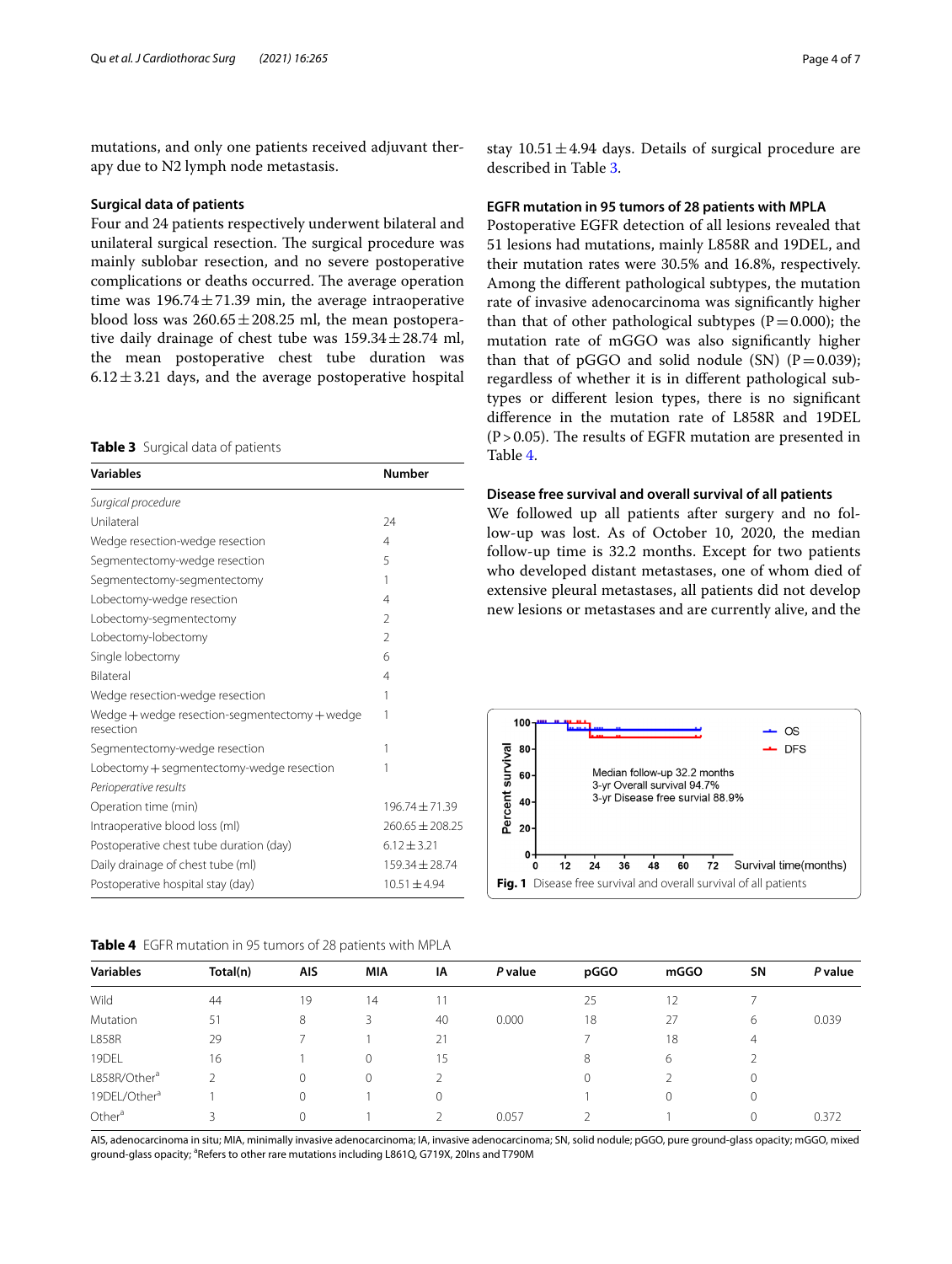mutations, and only one patients received adjuvant therapy due to N2 lymph node metastasis.

## **Surgical data of patients**

Four and 24 patients respectively underwent bilateral and unilateral surgical resection. The surgical procedure was mainly sublobar resection, and no severe postoperative complications or deaths occurred. The average operation time was  $196.74 \pm 71.39$  min, the average intraoperative blood loss was  $260.65 \pm 208.25$  ml, the mean postoperative daily drainage of chest tube was  $159.34 \pm 28.74$  ml, the mean postoperative chest tube duration was  $6.12 \pm 3.21$  days, and the average postoperative hospital

<span id="page-3-0"></span>**Table 3** Surgical data of patients

| <b>Variables</b>                                           | <b>Number</b>      |  |  |
|------------------------------------------------------------|--------------------|--|--|
| Surgical procedure                                         |                    |  |  |
| Unilateral                                                 | 24                 |  |  |
| Wedge resection-wedge resection                            | $\overline{4}$     |  |  |
| Segmentectomy-wedge resection                              | 5                  |  |  |
| Segmentectomy-segmentectomy                                | 1                  |  |  |
| Lobectomy-wedge resection                                  | 4                  |  |  |
| Lobectomy-segmentectomy                                    | $\mathfrak{D}$     |  |  |
| Lobectomy-lobectomy                                        | $\mathfrak{D}$     |  |  |
| Single lobectomy                                           | 6                  |  |  |
| <b>Bilateral</b>                                           | 4                  |  |  |
| Wedge resection-wedge resection                            | 1                  |  |  |
| Wedge + wedge resection-segmentectomy + wedge<br>resection | 1                  |  |  |
| Segmentectomy-wedge resection                              | 1                  |  |  |
| Lobectomy + segmentectomy-wedge resection                  | 1                  |  |  |
| Perioperative results                                      |                    |  |  |
| Operation time (min)                                       | $196.74 \pm 71.39$ |  |  |
| Intraoperative blood loss (ml)                             | $260.65 + 208.25$  |  |  |
| Postoperative chest tube duration (day)                    | $6.12 \pm 3.21$    |  |  |
| Daily drainage of chest tube (ml)                          | 159.34 ± 28.74     |  |  |
| Postoperative hospital stay (day)                          | $10.51 + 4.94$     |  |  |

<span id="page-3-1"></span>**Table 4** EGFR mutation in 95 tumors of 28 patients with MPLA

stay  $10.51 \pm 4.94$  days. Details of surgical procedure are described in Table [3.](#page-3-0)

## **EGFR mutation in 95 tumors of 28 patients with MPLA**

Postoperative EGFR detection of all lesions revealed that 51 lesions had mutations, mainly L858R and 19DEL, and their mutation rates were 30.5% and 16.8%, respectively. Among the diferent pathological subtypes, the mutation rate of invasive adenocarcinoma was signifcantly higher than that of other pathological subtypes ( $P=0.000$ ); the mutation rate of mGGO was also signifcantly higher than that of pGGO and solid nodule (SN)  $(P=0.039)$ ; regardless of whether it is in diferent pathological subtypes or diferent lesion types, there is no signifcant diference in the mutation rate of L858R and 19DEL  $(P > 0.05)$ . The results of EGFR mutation are presented in Table [4](#page-3-1).

## **Disease free survival and overall survival of all patients**

We followed up all patients after surgery and no follow-up was lost. As of October 10, 2020, the median follow-up time is 32.2 months. Except for two patients who developed distant metastases, one of whom died of extensive pleural metastases, all patients did not develop new lesions or metastases and are currently alive, and the

<span id="page-3-2"></span>

|                          | Total(n) | AIS         | <b>MIA</b> | ΙA | P value | pGGO         | mGGO | <b>SN</b>      | P value |
|--------------------------|----------|-------------|------------|----|---------|--------------|------|----------------|---------|
| <b>Variables</b>         |          |             |            |    |         |              |      |                |         |
| Wild                     | 44       | 19          | 14         |    |         | 25           | 12   |                |         |
| Mutation                 | 51       | 8           | 3          | 40 | 0.000   | 18           | 27   | 6              | 0.039   |
| <b>L858R</b>             | 29       |             |            | 21 |         |              | 18   | $\overline{4}$ |         |
| 19DEL                    | 16       |             | $\Omega$   | 15 |         | 8            | 6    |                |         |
| L858R/Other <sup>a</sup> |          | $\mathbf 0$ | $\Omega$   |    |         | $\mathbf{0}$ |      | ν              |         |
| 19DEL/Other <sup>a</sup> |          | $\Omega$    |            | 0  |         |              | 0    | U              |         |
| Other <sup>a</sup>       |          | $\Omega$    |            |    | 0.057   |              |      | 0              | 0.372   |

AIS, adenocarcinoma in situ; MIA, minimally invasive adenocarcinoma; IA, invasive adenocarcinoma; SN, solid nodule; pGGO, pure ground-glass opacity; mGGO, mixed ground-glass opacity; <sup>a</sup>Refers to other rare mutations including L861Q, G719X, 20Ins and T790M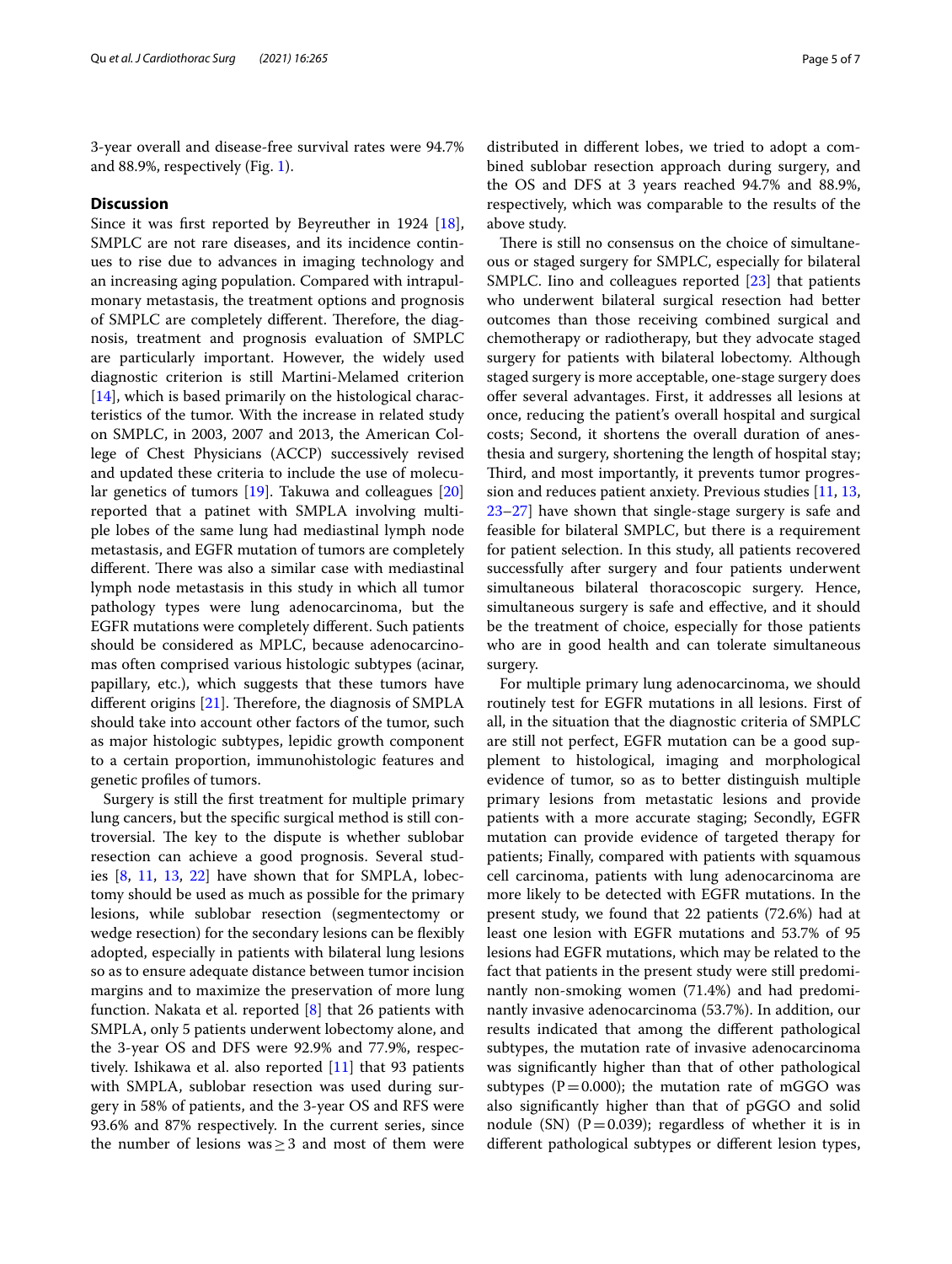3-year overall and disease-free survival rates were 94.7% and 88.9%, respectively (Fig. [1](#page-3-2)).

## **Discussion**

Since it was frst reported by Beyreuther in 1924 [\[18](#page-5-13)], SMPLC are not rare diseases, and its incidence continues to rise due to advances in imaging technology and an increasing aging population. Compared with intrapulmonary metastasis, the treatment options and prognosis of SMPLC are completely different. Therefore, the diagnosis, treatment and prognosis evaluation of SMPLC are particularly important. However, the widely used diagnostic criterion is still Martini-Melamed criterion [[14\]](#page-5-9), which is based primarily on the histological characteristics of the tumor. With the increase in related study on SMPLC, in 2003, 2007 and 2013, the American College of Chest Physicians (ACCP) successively revised and updated these criteria to include the use of molecular genetics of tumors [[19\]](#page-5-14). Takuwa and colleagues [[20](#page-5-15)] reported that a patinet with SMPLA involving multiple lobes of the same lung had mediastinal lymph node metastasis, and EGFR mutation of tumors are completely different. There was also a similar case with mediastinal lymph node metastasis in this study in which all tumor pathology types were lung adenocarcinoma, but the EGFR mutations were completely diferent. Such patients should be considered as MPLC, because adenocarcinomas often comprised various histologic subtypes (acinar, papillary, etc.), which suggests that these tumors have different origins  $[21]$  $[21]$ . Therefore, the diagnosis of SMPLA should take into account other factors of the tumor, such as major histologic subtypes, lepidic growth component to a certain proportion, immunohistologic features and genetic profles of tumors.

Surgery is still the frst treatment for multiple primary lung cancers, but the specifc surgical method is still controversial. The key to the dispute is whether sublobar resection can achieve a good prognosis. Several studies [[8,](#page-5-5) [11](#page-5-7), [13](#page-5-8), [22\]](#page-6-1) have shown that for SMPLA, lobectomy should be used as much as possible for the primary lesions, while sublobar resection (segmentectomy or wedge resection) for the secondary lesions can be flexibly adopted, especially in patients with bilateral lung lesions so as to ensure adequate distance between tumor incision margins and to maximize the preservation of more lung function. Nakata et al. reported [[8\]](#page-5-5) that 26 patients with SMPLA, only 5 patients underwent lobectomy alone, and the 3-year OS and DFS were 92.9% and 77.9%, respectively. Ishikawa et al. also reported [[11](#page-5-7)] that 93 patients with SMPLA, sublobar resection was used during surgery in 58% of patients, and the 3-year OS and RFS were 93.6% and 87% respectively. In the current series, since the number of lesions was  $\geq$  3 and most of them were distributed in diferent lobes, we tried to adopt a combined sublobar resection approach during surgery, and the OS and DFS at 3 years reached 94.7% and 88.9%, respectively, which was comparable to the results of the above study.

There is still no consensus on the choice of simultaneous or staged surgery for SMPLC, especially for bilateral SMPLC. Iino and colleagues reported [[23](#page-6-2)] that patients who underwent bilateral surgical resection had better outcomes than those receiving combined surgical and chemotherapy or radiotherapy, but they advocate staged surgery for patients with bilateral lobectomy. Although staged surgery is more acceptable, one-stage surgery does offer several advantages. First, it addresses all lesions at once, reducing the patient's overall hospital and surgical costs; Second, it shortens the overall duration of anesthesia and surgery, shortening the length of hospital stay; Third, and most importantly, it prevents tumor progression and reduces patient anxiety. Previous studies [\[11,](#page-5-7) [13](#page-5-8), [23](#page-6-2)[–27](#page-6-3)] have shown that single-stage surgery is safe and feasible for bilateral SMPLC, but there is a requirement for patient selection. In this study, all patients recovered successfully after surgery and four patients underwent simultaneous bilateral thoracoscopic surgery. Hence, simultaneous surgery is safe and efective, and it should be the treatment of choice, especially for those patients who are in good health and can tolerate simultaneous surgery.

For multiple primary lung adenocarcinoma, we should routinely test for EGFR mutations in all lesions. First of all, in the situation that the diagnostic criteria of SMPLC are still not perfect, EGFR mutation can be a good supplement to histological, imaging and morphological evidence of tumor, so as to better distinguish multiple primary lesions from metastatic lesions and provide patients with a more accurate staging; Secondly, EGFR mutation can provide evidence of targeted therapy for patients; Finally, compared with patients with squamous cell carcinoma, patients with lung adenocarcinoma are more likely to be detected with EGFR mutations. In the present study, we found that 22 patients (72.6%) had at least one lesion with EGFR mutations and 53.7% of 95 lesions had EGFR mutations, which may be related to the fact that patients in the present study were still predominantly non-smoking women (71.4%) and had predominantly invasive adenocarcinoma (53.7%). In addition, our results indicated that among the diferent pathological subtypes, the mutation rate of invasive adenocarcinoma was signifcantly higher than that of other pathological subtypes ( $P = 0.000$ ); the mutation rate of mGGO was also signifcantly higher than that of pGGO and solid nodule (SN) ( $P=0.039$ ); regardless of whether it is in diferent pathological subtypes or diferent lesion types,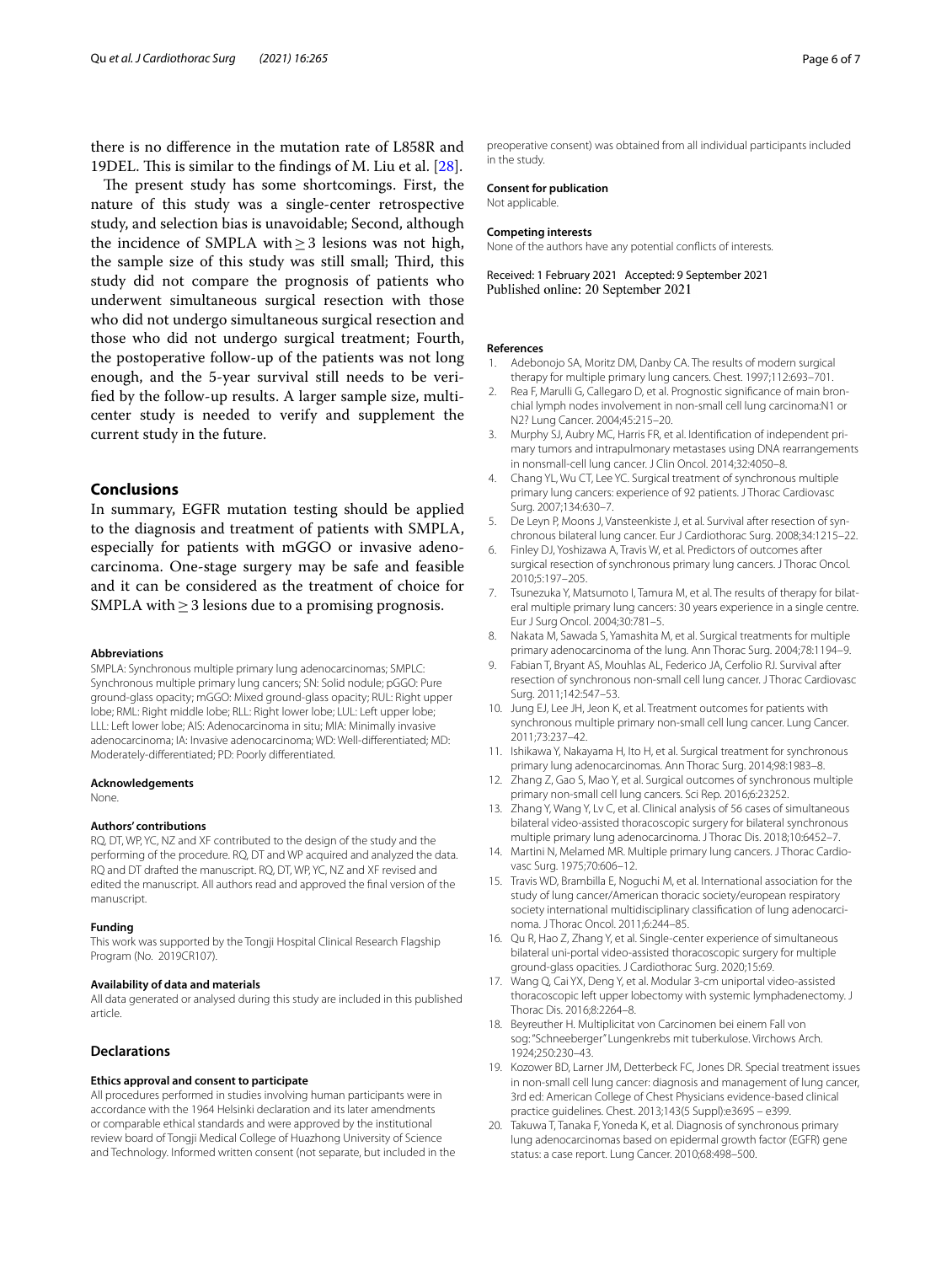there is no diference in the mutation rate of L858R and 19DEL. This is similar to the findings of M. Liu et al. [\[28](#page-6-4)].

The present study has some shortcomings. First, the nature of this study was a single-center retrospective study, and selection bias is unavoidable; Second, although the incidence of SMPLA with $\geq$ 3 lesions was not high, the sample size of this study was still small; Third, this study did not compare the prognosis of patients who underwent simultaneous surgical resection with those who did not undergo simultaneous surgical resection and those who did not undergo surgical treatment; Fourth, the postoperative follow-up of the patients was not long enough, and the 5-year survival still needs to be verifed by the follow-up results. A larger sample size, multicenter study is needed to verify and supplement the current study in the future.

## **Conclusions**

In summary, EGFR mutation testing should be applied to the diagnosis and treatment of patients with SMPLA, especially for patients with mGGO or invasive adenocarcinoma. One-stage surgery may be safe and feasible and it can be considered as the treatment of choice for SMPLA with  $\geq$  3 lesions due to a promising prognosis.

## **Abbreviations**

SMPLA: Synchronous multiple primary lung adenocarcinomas; SMPLC: Synchronous multiple primary lung cancers; SN: Solid nodule; pGGO: Pure ground-glass opacity; mGGO: Mixed ground-glass opacity; RUL: Right upper lobe; RML: Right middle lobe; RLL: Right lower lobe; LUL: Left upper lobe; LLL: Left lower lobe; AIS: Adenocarcinoma in situ; MIA: Minimally invasive adenocarcinoma; IA: Invasive adenocarcinoma; WD: Well-diferentiated; MD: Moderately-diferentiated; PD: Poorly diferentiated.

#### **Acknowledgements**

None.

## **Authors' contributions**

RQ, DT, WP, YC, NZ and XF contributed to the design of the study and the performing of the procedure. RQ, DT and WP acquired and analyzed the data. RQ and DT drafted the manuscript. RQ, DT, WP, YC, NZ and XF revised and edited the manuscript. All authors read and approved the fnal version of the manuscript.

#### **Funding**

This work was supported by the Tongji Hospital Clinical Research Flagship Program (No. 2019CR107).

#### **Availability of data and materials**

All data generated or analysed during this study are included in this published article.

## **Declarations**

## **Ethics approval and consent to participate**

All procedures performed in studies involving human participants were in accordance with the 1964 Helsinki declaration and its later amendments or comparable ethical standards and were approved by the institutional review board of Tongji Medical College of Huazhong University of Science and Technology. Informed written consent (not separate, but included in the preoperative consent) was obtained from all individual participants included in the study.

## **Consent for publication**

Not applicable.

#### **Competing interests**

None of the authors have any potential conficts of interests.

Received: 1 February 2021 Accepted: 9 September 2021 Published online: 20 September 2021

#### **References**

- <span id="page-5-0"></span>1. Adebonojo SA, Moritz DM, Danby CA. The results of modern surgical therapy for multiple primary lung cancers. Chest. 1997;112:693–701.
- 2. Rea F, Marulli G, Callegaro D, et al. Prognostic signifcance of main bronchial lymph nodes involvement in non-small cell lung carcinoma:N1 or N2? Lung Cancer. 2004;45:215–20.
- <span id="page-5-1"></span>3. Murphy SJ, Aubry MC, Harris FR, et al. Identifcation of independent primary tumors and intrapulmonary metastases using DNA rearrangements in nonsmall-cell lung cancer. J Clin Oncol. 2014;32:4050–8.
- <span id="page-5-2"></span>4. Chang YL, Wu CT, Lee YC. Surgical treatment of synchronous multiple primary lung cancers: experience of 92 patients. J Thorac Cardiovasc Surg. 2007;134:630–7.
- 5. De Leyn P, Moons J, Vansteenkiste J, et al. Survival after resection of synchronous bilateral lung cancer. Eur J Cardiothorac Surg. 2008;34:1215–22.
- <span id="page-5-4"></span>6. Finley DJ, Yoshizawa A, Travis W, et al. Predictors of outcomes after surgical resection of synchronous primary lung cancers. J Thorac Oncol. 2010;5:197–205.
- <span id="page-5-3"></span>7. Tsunezuka Y, Matsumoto I, Tamura M, et al. The results of therapy for bilateral multiple primary lung cancers: 30 years experience in a single centre. Eur J Surg Oncol. 2004;30:781–5.
- <span id="page-5-5"></span>8. Nakata M, Sawada S, Yamashita M, et al. Surgical treatments for multiple primary adenocarcinoma of the lung. Ann Thorac Surg. 2004;78:1194–9.
- 9. Fabian T, Bryant AS, Mouhlas AL, Federico JA, Cerfolio RJ. Survival after resection of synchronous non-small cell lung cancer. J Thorac Cardiovasc Surg. 2011;142:547–53.
- 10. Jung EJ, Lee JH, Jeon K, et al. Treatment outcomes for patients with synchronous multiple primary non-small cell lung cancer. Lung Cancer. 2011;73:237–42.
- <span id="page-5-7"></span>11. Ishikawa Y, Nakayama H, Ito H, et al. Surgical treatment for synchronous primary lung adenocarcinomas. Ann Thorac Surg. 2014;98:1983–8.
- <span id="page-5-6"></span>12. Zhang Z, Gao S, Mao Y, et al. Surgical outcomes of synchronous multiple primary non-small cell lung cancers. Sci Rep. 2016;6:23252.
- <span id="page-5-8"></span>13. Zhang Y, Wang Y, Lv C, et al. Clinical analysis of 56 cases of simultaneous bilateral video-assisted thoracoscopic surgery for bilateral synchronous multiple primary lung adenocarcinoma. J Thorac Dis. 2018;10:6452–7.
- <span id="page-5-9"></span>14. Martini N, Melamed MR. Multiple primary lung cancers. J Thorac Cardiovasc Surg. 1975;70:606–12.
- <span id="page-5-10"></span>15. Travis WD, Brambilla E, Noguchi M, et al. International association for the study of lung cancer/American thoracic society/european respiratory society international multidisciplinary classifcation of lung adenocarcinoma. J Thorac Oncol. 2011;6:244–85.
- <span id="page-5-11"></span>16. Qu R, Hao Z, Zhang Y, et al. Single-center experience of simultaneous bilateral uni-portal video-assisted thoracoscopic surgery for multiple ground-glass opacities. J Cardiothorac Surg. 2020;15:69.
- <span id="page-5-12"></span>17. Wang Q, Cai YX, Deng Y, et al. Modular 3-cm uniportal video-assisted thoracoscopic left upper lobectomy with systemic lymphadenectomy. J Thorac Dis. 2016;8:2264–8.
- <span id="page-5-13"></span>18. Beyreuther H. Multiplicitat von Carcinomen bei einem Fall von sog: "Schneeberger" Lungenkrebs mit tuberkulose. Virchows Arch. 1924;250:230–43.
- <span id="page-5-14"></span>19. Kozower BD, Larner JM, Detterbeck FC, Jones DR. Special treatment issues in non-small cell lung cancer: diagnosis and management of lung cancer, 3rd ed: American College of Chest Physicians evidence-based clinical practice guidelines. Chest. 2013;143(5 Suppl):e369S – e399.
- <span id="page-5-15"></span>20. Takuwa T, Tanaka F, Yoneda K, et al. Diagnosis of synchronous primary lung adenocarcinomas based on epidermal growth factor (EGFR) gene status: a case report. Lung Cancer. 2010;68:498–500.